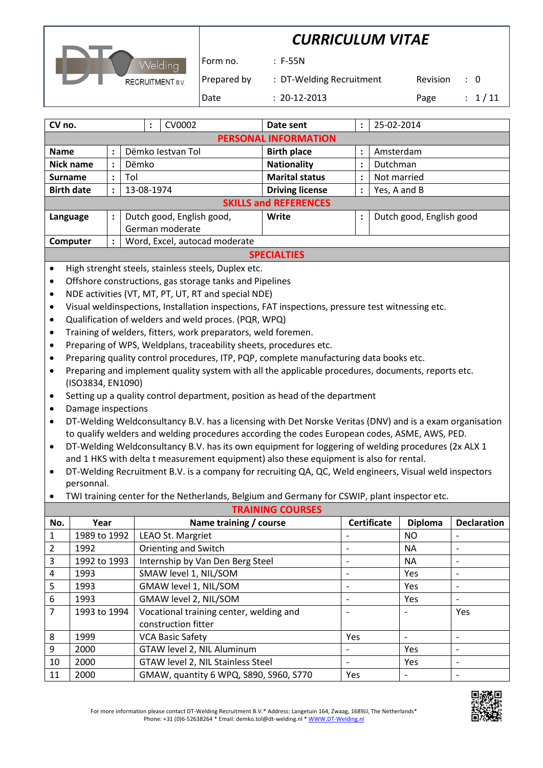|                         | <b>CURRICULUM VITAE</b> |                          |          |                |  |  |
|-------------------------|-------------------------|--------------------------|----------|----------------|--|--|
| Welding                 | l Form no.              | $: F-55N$                |          |                |  |  |
| <b>RECRUITMENT B.V.</b> | Prepared by             | : DT-Welding Recruitment | Revision | $\therefore$ 0 |  |  |
|                         | Date                    | $: 20-12-2013$           | Page     | : 1/11         |  |  |

| CV no.             |                              |                           | $\ddot{\phantom{a}}$ | CV0002                        |       | Date sent              | $\ddot{\phantom{a}}$     | 25-02-2014   |  |  |
|--------------------|------------------------------|---------------------------|----------------------|-------------------------------|-------|------------------------|--------------------------|--------------|--|--|
|                    | <b>PERSONAL INFORMATION</b>  |                           |                      |                               |       |                        |                          |              |  |  |
| <b>Name</b>        | $\ddot{\phantom{a}}$         | Dëmko lestvan Tol         |                      |                               |       | <b>Birth place</b>     | $\ddot{\cdot}$           | Amsterdam    |  |  |
| <b>Nick name</b>   | $\ddot{\phantom{a}}$         | Dëmko                     |                      |                               |       | <b>Nationality</b>     | $\bullet$<br>÷           | Dutchman     |  |  |
| <b>Surname</b>     | $\ddot{\phantom{a}}$         | Tol                       |                      |                               |       | <b>Marital status</b>  | $\ddot{\phantom{a}}$     | Not married  |  |  |
| <b>Birth date</b>  | $\ddot{\cdot}$               | 13-08-1974                |                      |                               |       | <b>Driving license</b> | $\ddot{\phantom{a}}$     | Yes, A and B |  |  |
|                    | <b>SKILLS and REFERENCES</b> |                           |                      |                               |       |                        |                          |              |  |  |
| Language           | $\ddot{\phantom{a}}$         | Dutch good, English good, |                      |                               | Write | $\ddot{\cdot}$         | Dutch good, English good |              |  |  |
|                    |                              | German moderate           |                      |                               |       |                        |                          |              |  |  |
| Computer           | $\ddot{\phantom{a}}$         |                           |                      | Word, Excel, autocad moderate |       |                        |                          |              |  |  |
| <b>SPECIALTIES</b> |                              |                           |                      |                               |       |                        |                          |              |  |  |

- High strenght steels, stainless steels, Duplex etc.
- Offshore constructions, gas storage tanks and Pipelines
- NDE activities (VT, MT, PT, UT, RT and special NDE)
- Visual weldinspections, Installation inspections, FAT inspections, pressure test witnessing etc.
- Qualification of welders and weld proces. (PQR, WPQ)
- Training of welders, fitters, work preparators, weld foremen.
- Preparing of WPS, Weldplans, traceability sheets, procedures etc.
- Preparing quality control procedures, ITP, PQP, complete manufacturing data books etc.
- Preparing and implement quality system with all the applicable procedures, documents, reports etc. (ISO3834, EN1090)
- Setting up a quality control department, position as head of the department
- Damage inspections
- DT-Welding Weldconsultancy B.V. has a licensing with Det Norske Veritas (DNV) and is a exam organisation to qualify welders and welding procedures according the codes European codes, ASME, AWS, PED.
- DT-Welding Weldconsultancy B.V. has its own equipment for loggering of welding procedures (2x ALX 1 and 1 HKS with delta t measurement equipment) also these equipment is also for rental.
- DT-Welding Recruitment B.V. is a company for recruiting QA, QC, Weld engineers, Visual weld inspectors personnal.
- TWI training center for the Netherlands, Belgium and Germany for CSWIP, plant inspector etc.

|                | <b>TRAINING COURSES</b> |                                         |                              |                |                          |  |
|----------------|-------------------------|-----------------------------------------|------------------------------|----------------|--------------------------|--|
| No.            | Year                    | Name training / course                  | <b>Certificate</b>           | <b>Diploma</b> | <b>Declaration</b>       |  |
| $\mathbf{1}$   | 1989 to 1992            | LEAO St. Margriet                       |                              | NO.            |                          |  |
| $\overline{2}$ | 1992                    | Orienting and Switch                    | $\overline{\phantom{0}}$     | <b>NA</b>      | $\overline{\phantom{a}}$ |  |
| $\overline{3}$ | 1992 to 1993            | Internship by Van Den Berg Steel        | $\qquad \qquad \blacksquare$ | <b>NA</b>      | $\overline{\phantom{a}}$ |  |
| 4              | 1993                    | SMAW level 1, NIL/SOM                   | $\overline{\phantom{0}}$     | Yes            | $\overline{\phantom{a}}$ |  |
| 5.             | 1993                    | GMAW level 1, NIL/SOM                   | $\overline{\phantom{0}}$     | Yes            | $\overline{\phantom{a}}$ |  |
| 6              | 1993                    | GMAW level 2, NIL/SOM                   | $\overline{\phantom{a}}$     | <b>Yes</b>     | $\overline{\phantom{a}}$ |  |
| $\overline{7}$ | 1993 to 1994            | Vocational training center, welding and | $\overline{\phantom{0}}$     |                | Yes                      |  |
|                |                         | construction fitter                     |                              |                |                          |  |
| 8              | 1999                    | <b>VCA Basic Safety</b>                 | Yes                          |                | $\overline{\phantom{a}}$ |  |
| 9              | 2000                    | GTAW level 2, NIL Aluminum              | $\overline{\phantom{0}}$     | Yes            | $\overline{\phantom{a}}$ |  |
| 10             | 2000                    | GTAW level 2, NIL Stainless Steel       | $\overline{\phantom{0}}$     | Yes            | $\overline{\phantom{a}}$ |  |
| 11             | 2000                    | GMAW, quantity 6 WPQ, S890, S960, S770  | Yes                          |                |                          |  |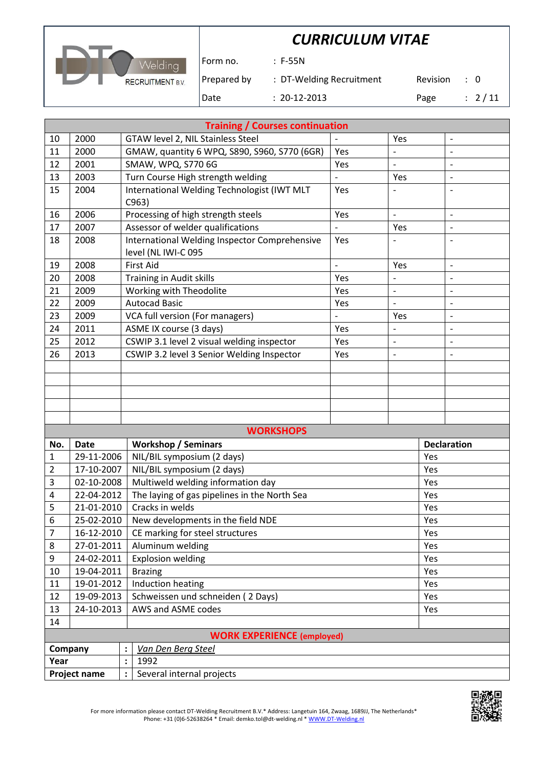

Form no. : F-55N

Prepared by : DT-Welding Recruitment Revision : 0

Date : 20-12-2013 Page : 2/11

|                | <b>Training / Courses continuation</b> |                                                                               |                          |                          |     |                          |
|----------------|----------------------------------------|-------------------------------------------------------------------------------|--------------------------|--------------------------|-----|--------------------------|
| 10             | 2000                                   | GTAW level 2, NIL Stainless Steel                                             |                          | Yes                      |     | $\overline{a}$           |
| 11             | 2000                                   | GMAW, quantity 6 WPQ, S890, S960, S770 (6GR)                                  | Yes                      |                          |     |                          |
| 12             | 2001                                   | SMAW, WPQ, S770 6G                                                            | Yes                      |                          |     |                          |
| 13             | 2003                                   | Turn Course High strength welding                                             |                          | Yes                      |     | $\overline{\phantom{a}}$ |
| 15             | 2004                                   | International Welding Technologist (IWT MLT                                   | Yes                      |                          |     |                          |
|                | 2006                                   | C963)                                                                         |                          | $\overline{\phantom{a}}$ |     |                          |
| 16<br>17       | 2007                                   | Processing of high strength steels<br>Assessor of welder qualifications       | Yes                      | Yes                      |     | $\overline{\phantom{a}}$ |
| 18             | 2008                                   | International Welding Inspector Comprehensive                                 | Yes                      |                          |     |                          |
|                |                                        | level (NL IWI-C 095                                                           |                          |                          |     |                          |
| 19             | 2008                                   | <b>First Aid</b>                                                              | $\overline{\phantom{a}}$ | Yes                      |     | $\overline{\phantom{m}}$ |
| 20             | 2008                                   | Training in Audit skills                                                      | Yes                      |                          |     |                          |
| 21             | 2009                                   | Working with Theodolite                                                       | Yes                      | $\overline{\phantom{a}}$ |     | $\overline{\phantom{0}}$ |
| 22             | 2009                                   | <b>Autocad Basic</b>                                                          | Yes                      | $\overline{\phantom{a}}$ |     | $\overline{a}$           |
| 23             | 2009                                   | VCA full version (For managers)                                               |                          | Yes                      |     | $\overline{a}$           |
| 24             | 2011                                   | ASME IX course (3 days)                                                       | Yes                      | $\frac{1}{2}$            |     | $\overline{a}$           |
| 25             | 2012                                   | CSWIP 3.1 level 2 visual welding inspector<br>Yes<br>$\overline{\phantom{a}}$ |                          |                          |     | $\overline{a}$           |
| 26             | 2013                                   | CSWIP 3.2 level 3 Senior Welding Inspector                                    | Yes                      | $\overline{\phantom{0}}$ |     |                          |
|                |                                        |                                                                               |                          |                          |     |                          |
|                |                                        |                                                                               |                          |                          |     |                          |
|                |                                        |                                                                               |                          |                          |     |                          |
|                |                                        |                                                                               |                          |                          |     |                          |
|                |                                        |                                                                               |                          |                          |     |                          |
|                |                                        | <b>WORKSHOPS</b>                                                              |                          |                          |     |                          |
| No.            | <b>Date</b>                            | <b>Workshop / Seminars</b>                                                    |                          |                          |     | <b>Declaration</b>       |
| 1              | 29-11-2006                             | NIL/BIL symposium (2 days)                                                    |                          |                          | Yes |                          |
| $\overline{2}$ | 17-10-2007                             | NIL/BIL symposium (2 days)                                                    |                          |                          | Yes |                          |
| 3              | 02-10-2008                             | Multiweld welding information day                                             |                          |                          | Yes |                          |
| 4              | 22-04-2012                             | The laying of gas pipelines in the North Sea                                  |                          |                          | Yes |                          |
| 5              | 21-01-2010                             | Cracks in welds                                                               |                          |                          | Yes |                          |
| 6              | 25-02-2010                             | New developments in the field NDE                                             |                          |                          | Yes |                          |
| 7              | 16-12-2010                             | CE marking for steel structures                                               |                          |                          | Yes |                          |
| 8              | 27-01-2011                             | Aluminum welding                                                              |                          |                          | Yes |                          |
| 9              | 24-02-2011                             | <b>Explosion welding</b>                                                      |                          |                          | Yes |                          |
| 10             | 19-04-2011                             | <b>Brazing</b>                                                                |                          |                          | Yes |                          |
| 11             | 19-01-2012                             | Induction heating                                                             |                          |                          | Yes |                          |
| 12             | 19-09-2013<br>24-10-2013               | Schweissen und schneiden (2 Days)<br>AWS and ASME codes                       |                          |                          | Yes |                          |
| 13<br>14       |                                        |                                                                               |                          |                          | Yes |                          |
|                |                                        |                                                                               |                          |                          |     |                          |
|                | <b>WORK EXPERIENCE (employed)</b>      |                                                                               |                          |                          |     |                          |

| Company      | Van Den Berg Steel        |
|--------------|---------------------------|
| Year         | 1992                      |
| Project name | Several internal projects |

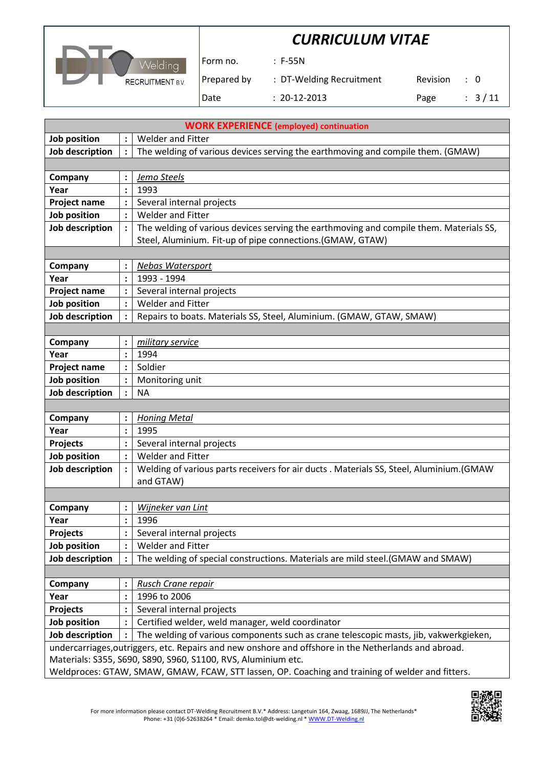



Form no. : F-55N

Prepared by : DT-Welding Recruitment Revision : 0

Date : 20-12-2013 Page : 3/11

|                        | <b>WORK EXPERIENCE (employed) continuation</b> |                                                                                                      |  |  |  |  |  |
|------------------------|------------------------------------------------|------------------------------------------------------------------------------------------------------|--|--|--|--|--|
| Job position           |                                                | <b>Welder and Fitter</b>                                                                             |  |  |  |  |  |
| Job description        | $\ddot{\cdot}$                                 | The welding of various devices serving the earthmoving and compile them. (GMAW)                      |  |  |  |  |  |
|                        |                                                |                                                                                                      |  |  |  |  |  |
| Company                |                                                | Jemo Steels                                                                                          |  |  |  |  |  |
| Year                   |                                                | 1993                                                                                                 |  |  |  |  |  |
| <b>Project name</b>    | $\ddot{\cdot}$                                 | Several internal projects                                                                            |  |  |  |  |  |
| Job position           |                                                | <b>Welder and Fitter</b>                                                                             |  |  |  |  |  |
| Job description        | $\ddot{\cdot}$                                 | The welding of various devices serving the earthmoving and compile them. Materials SS,               |  |  |  |  |  |
|                        |                                                | Steel, Aluminium. Fit-up of pipe connections.(GMAW, GTAW)                                            |  |  |  |  |  |
|                        |                                                |                                                                                                      |  |  |  |  |  |
| Company                |                                                | <b>Nebas Watersport</b>                                                                              |  |  |  |  |  |
| Year                   |                                                | 1993 - 1994                                                                                          |  |  |  |  |  |
| <b>Project name</b>    | $\ddot{\cdot}$                                 | Several internal projects                                                                            |  |  |  |  |  |
| Job position           | $\ddot{\cdot}$                                 | <b>Welder and Fitter</b>                                                                             |  |  |  |  |  |
| Job description        |                                                | Repairs to boats. Materials SS, Steel, Aluminium. (GMAW, GTAW, SMAW)                                 |  |  |  |  |  |
|                        |                                                |                                                                                                      |  |  |  |  |  |
| Company                |                                                | military service                                                                                     |  |  |  |  |  |
| Year                   | $\ddot{\cdot}$                                 | 1994                                                                                                 |  |  |  |  |  |
| <b>Project name</b>    | $\ddot{\cdot}$                                 | Soldier                                                                                              |  |  |  |  |  |
| Job position           |                                                | Monitoring unit                                                                                      |  |  |  |  |  |
| Job description        |                                                | <b>NA</b>                                                                                            |  |  |  |  |  |
|                        |                                                |                                                                                                      |  |  |  |  |  |
| Company                |                                                | <b>Honing Metal</b>                                                                                  |  |  |  |  |  |
| Year                   | $\ddot{\cdot}$                                 | 1995                                                                                                 |  |  |  |  |  |
| Projects               |                                                | Several internal projects                                                                            |  |  |  |  |  |
| Job position           |                                                | <b>Welder and Fitter</b>                                                                             |  |  |  |  |  |
| Job description        | $\ddot{\cdot}$                                 | Welding of various parts receivers for air ducts . Materials SS, Steel, Aluminium.(GMAW              |  |  |  |  |  |
|                        |                                                | and GTAW)                                                                                            |  |  |  |  |  |
|                        |                                                |                                                                                                      |  |  |  |  |  |
| Company                |                                                | Wijneker van Lint                                                                                    |  |  |  |  |  |
| Year                   | $\ddot{\cdot}$                                 | 1996                                                                                                 |  |  |  |  |  |
| <b>Projects</b>        |                                                | Several internal projects                                                                            |  |  |  |  |  |
| Job position           |                                                | <b>Welder and Fitter</b>                                                                             |  |  |  |  |  |
| <b>Job description</b> |                                                | The welding of special constructions. Materials are mild steel.(GMAW and SMAW)                       |  |  |  |  |  |
|                        |                                                |                                                                                                      |  |  |  |  |  |
| Company                |                                                | <b>Rusch Crane repair</b>                                                                            |  |  |  |  |  |
| Year                   | $\vdots$                                       | 1996 to 2006                                                                                         |  |  |  |  |  |
| <b>Projects</b>        |                                                | Several internal projects                                                                            |  |  |  |  |  |
| Job position           |                                                | Certified welder, weld manager, weld coordinator                                                     |  |  |  |  |  |
| Job description        |                                                | The welding of various components such as crane telescopic masts, jib, vakwerkgieken,                |  |  |  |  |  |
|                        |                                                | undercarriages, outriggers, etc. Repairs and new onshore and offshore in the Netherlands and abroad. |  |  |  |  |  |
|                        |                                                | Materials: S355, S690, S890, S960, S1100, RVS, Aluminium etc.                                        |  |  |  |  |  |
|                        |                                                | Weldproces: GTAW, SMAW, GMAW, FCAW, STT lassen, OP. Coaching and training of welder and fitters.     |  |  |  |  |  |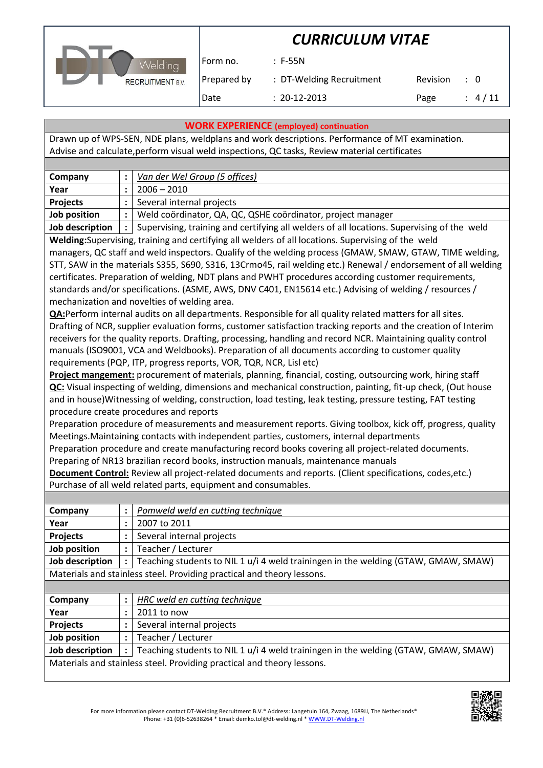

Form no. : F-55N

Prepared by : DT-Welding Recruitment Revision : 0 Date : 20-12-2013 Page : 4/11

**WORK EXPERIENCE (employed) continuation**

Drawn up of WPS-SEN, NDE plans, weldplans and work descriptions. Performance of MT examination. Advise and calculate,perform visual weld inspections, QC tasks, Review material certificates

| Company         | Van der Wel Group (5 offices)                                                              |
|-----------------|--------------------------------------------------------------------------------------------|
| Year            | $2006 - 2010$                                                                              |
| <b>Projects</b> | Several internal projects                                                                  |
| Job position    | Weld coördinator, QA, QC, QSHE coördinator, project manager                                |
| Job description | Supervising, training and certifying all welders of all locations. Supervising of the weld |

**Welding:**Supervising, training and certifying all welders of all locations. Supervising of the weld managers, QC staff and weld inspectors. Qualify of the welding process (GMAW, SMAW, GTAW, TIME welding, STT, SAW in the materials S355, S690, S316, 13Crmo45, rail welding etc.) Renewal / endorsement of all welding

certificates. Preparation of welding, NDT plans and PWHT procedures according customer requirements, standards and/or specifications. (ASME, AWS, DNV C401, EN15614 etc.) Advising of welding / resources / mechanization and novelties of welding area.

**QA:**Perform internal audits on all departments. Responsible for all quality related matters for all sites. Drafting of NCR, supplier evaluation forms, customer satisfaction tracking reports and the creation of Interim receivers for the quality reports. Drafting, processing, handling and record NCR. Maintaining quality control manuals (ISO9001, VCA and Weldbooks). Preparation of all documents according to customer quality requirements (PQP, ITP, progress reports, VOR, TQR, NCR, Lisl etc)

**Project mangement:** procurement of materials, planning, financial, costing, outsourcing work, hiring staff **QC:** Visual inspecting of welding, dimensions and mechanical construction, painting, fit-up check, (Out house and in house)Witnessing of welding, construction, load testing, leak testing, pressure testing, FAT testing procedure create procedures and reports

Preparation procedure of measurements and measurement reports. Giving toolbox, kick off, progress, quality Meetings.Maintaining contacts with independent parties, customers, internal departments

Preparation procedure and create manufacturing record books covering all project-related documents. Preparing of NR13 brazilian record books, instruction manuals, maintenance manuals

**Document Control:** Review all project-related documents and reports. (Client specifications, codes,etc.) Purchase of all weld related parts, equipment and consumables.

| Company                                                                |              | Pomweld weld en cutting technique                                                  |  |
|------------------------------------------------------------------------|--------------|------------------------------------------------------------------------------------|--|
| Year                                                                   |              | 2007 to 2011                                                                       |  |
| <b>Projects</b>                                                        |              | Several internal projects                                                          |  |
| Job position                                                           |              | Teacher / Lecturer                                                                 |  |
| Job description                                                        | $\mathbf{1}$ | Teaching students to NIL 1 u/i 4 weld trainingen in the welding (GTAW, GMAW, SMAW) |  |
| Materials and stainless steel. Providing practical and theory lessons. |              |                                                                                    |  |
|                                                                        |              |                                                                                    |  |

| Company                                                                |  | HRC weld en cutting technique                                                      |  |
|------------------------------------------------------------------------|--|------------------------------------------------------------------------------------|--|
| Year                                                                   |  | 2011 to now                                                                        |  |
| <b>Projects</b>                                                        |  | Several internal projects                                                          |  |
| Job position                                                           |  | Teacher / Lecturer                                                                 |  |
| Job description                                                        |  | Teaching students to NIL 1 u/i 4 weld trainingen in the welding (GTAW, GMAW, SMAW) |  |
| Materials and stainless steel. Providing practical and theory lessons. |  |                                                                                    |  |

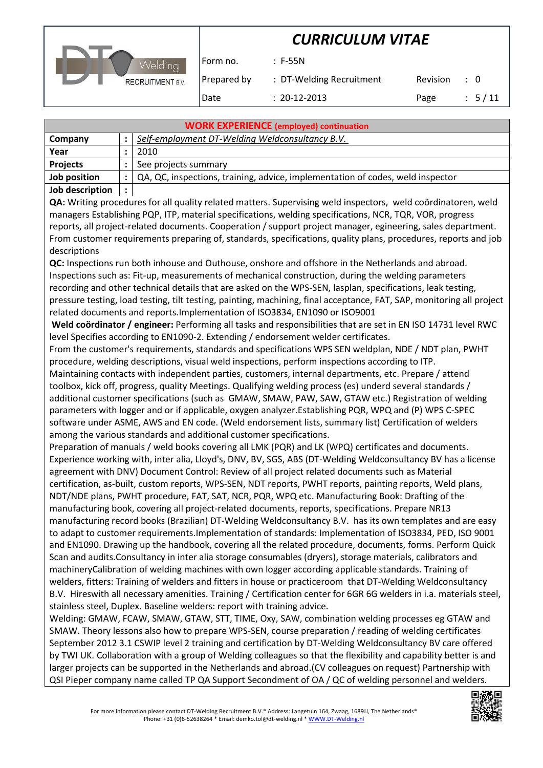

Form no. : F-55N

Prepared by : DT-Welding Recruitment Revision : 0

Date : 20-12-2013 Page : 5/11

| <b>WORK EXPERIENCE (employed) continuation</b> |  |                                                                                |  |  |  |
|------------------------------------------------|--|--------------------------------------------------------------------------------|--|--|--|
| Company                                        |  | Self-employment DT-Welding Weldconsultancy B.V.                                |  |  |  |
| Year                                           |  | 2010                                                                           |  |  |  |
| <b>Projects</b>                                |  | See projects summary                                                           |  |  |  |
| Job position                                   |  | QA, QC, inspections, training, advice, implementation of codes, weld inspector |  |  |  |
| Iah docerintian                                |  |                                                                                |  |  |  |

### **Job description :**

**QA:** Writing procedures for all quality related matters. Supervising weld inspectors, weld coördinatoren, weld managers Establishing PQP, ITP, material specifications, welding specifications, NCR, TQR, VOR, progress reports, all project-related documents. Cooperation / support project manager, egineering, sales department. From customer requirements preparing of, standards, specifications, quality plans, procedures, reports and job descriptions

**QC:** Inspections run both inhouse and Outhouse, onshore and offshore in the Netherlands and abroad. Inspections such as: Fit-up, measurements of mechanical construction, during the welding parameters recording and other technical details that are asked on the WPS-SEN, lasplan, specifications, leak testing, pressure testing, load testing, tilt testing, painting, machining, final acceptance, FAT, SAP, monitoring all project related documents and reports.Implementation of ISO3834, EN1090 or ISO9001

**Weld coördinator / engineer:** Performing all tasks and responsibilities that are set in EN ISO 14731 level RWC level Specifies according to EN1090-2. Extending / endorsement welder certificates.

From the customer's requirements, standards and specifications WPS SEN weldplan, NDE / NDT plan, PWHT procedure, welding descriptions, visual weld inspections, perform inspections according to ITP.

Maintaining contacts with independent parties, customers, internal departments, etc. Prepare / attend toolbox, kick off, progress, quality Meetings. Qualifying welding process (es) underd several standards / additional customer specifications (such as GMAW, SMAW, PAW, SAW, GTAW etc.) Registration of welding parameters with logger and or if applicable, oxygen analyzer.Establishing PQR, WPQ and (P) WPS C-SPEC software under ASME, AWS and EN code. (Weld endorsement lists, summary list) Certification of welders among the various standards and additional customer specifications.

Preparation of manuals / weld books covering all LMK (PQR) and LK (WPQ) certificates and documents. Experience working with, inter alia, Lloyd's, DNV, BV, SGS, ABS (DT-Welding Weldconsultancy BV has a license agreement with DNV) Document Control: Review of all project related documents such as Material certification, as-built, custom reports, WPS-SEN, NDT reports, PWHT reports, painting reports, Weld plans, NDT/NDE plans, PWHT procedure, FAT, SAT, NCR, PQR, WPQ etc. Manufacturing Book: Drafting of the manufacturing book, covering all project-related documents, reports, specifications. Prepare NR13 manufacturing record books (Brazilian) DT-Welding Weldconsultancy B.V. has its own templates and are easy to adapt to customer requirements.Implementation of standards: Implementation of ISO3834, PED, ISO 9001 and EN1090. Drawing up the handbook, covering all the related procedure, documents, forms. Perform Quick Scan and audits.Consultancy in inter alia storage consumables (dryers), storage materials, calibrators and machineryCalibration of welding machines with own logger according applicable standards. Training of welders, fitters: Training of welders and fitters in house or practiceroom that DT-Welding Weldconsultancy B.V. Hireswith all necessary amenities. Training / Certification center for 6GR 6G welders in i.a. materials steel, stainless steel, Duplex. Baseline welders: report with training advice.

Welding: GMAW, FCAW, SMAW, GTAW, STT, TIME, Oxy, SAW, combination welding processes eg GTAW and SMAW. Theory lessons also how to prepare WPS-SEN, course preparation / reading of welding certificates September 2012 3.1 CSWIP level 2 training and certification by DT-Welding Weldconsultancy BV care offered by TWI UK. Collaboration with a group of Welding colleagues so that the flexibility and capability better is and larger projects can be supported in the Netherlands and abroad.(CV colleagues on request) Partnership with QSI Pieper company name called TP QA Support Secondment of OA / QC of welding personnel and welders.

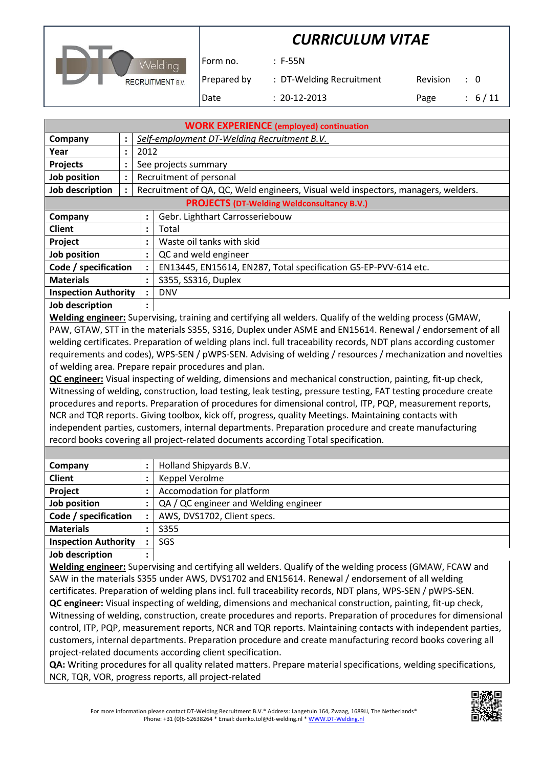

Form no. : F-55N

Prepared by : DT-Welding Recruitment Revision : 0

Date : 20-12-2013 Page : 6/11

| <b>WORK EXPERIENCE (employed) continuation</b>                                                                  |                                                   |                      |                                                                                   |  |  |  |  |
|-----------------------------------------------------------------------------------------------------------------|---------------------------------------------------|----------------------|-----------------------------------------------------------------------------------|--|--|--|--|
| Company                                                                                                         | $\ddot{\phantom{a}}$                              |                      | Self-employment DT-Welding Recruitment B.V.                                       |  |  |  |  |
| Year                                                                                                            | :                                                 | 2012                 |                                                                                   |  |  |  |  |
| <b>Projects</b>                                                                                                 | :                                                 |                      | See projects summary                                                              |  |  |  |  |
| Job position                                                                                                    | $\ddot{\cdot}$                                    |                      | Recruitment of personal                                                           |  |  |  |  |
| Job description                                                                                                 |                                                   |                      | Recruitment of QA, QC, Weld engineers, Visual weld inspectors, managers, welders. |  |  |  |  |
| <b>PROJECTS (DT-Welding Weldconsultancy B.V.)</b>                                                               |                                                   |                      |                                                                                   |  |  |  |  |
| Company                                                                                                         |                                                   | :                    | Gebr. Lighthart Carrosseriebouw                                                   |  |  |  |  |
| <b>Client</b>                                                                                                   |                                                   | $\ddot{\phantom{a}}$ | Total                                                                             |  |  |  |  |
| Project                                                                                                         | Waste oil tanks with skid<br>$\ddot{\phantom{a}}$ |                      |                                                                                   |  |  |  |  |
| Job position<br>QC and weld engineer<br>$\ddot{\cdot}$                                                          |                                                   |                      |                                                                                   |  |  |  |  |
| Code / specification<br>EN13445, EN15614, EN287, Total specification GS-EP-PVV-614 etc.<br>$\ddot{\phantom{a}}$ |                                                   |                      |                                                                                   |  |  |  |  |
| <b>Materials</b>                                                                                                |                                                   | $\ddot{\phantom{a}}$ | S355, SS316, Duplex                                                               |  |  |  |  |
| <b>Inspection Authority</b>                                                                                     |                                                   | $\ddot{\cdot}$       | <b>DNV</b>                                                                        |  |  |  |  |
| .                                                                                                               |                                                   |                      |                                                                                   |  |  |  |  |

**Job description :**

**Welding engineer:** Supervising, training and certifying all welders. Qualify of the welding process (GMAW, PAW, GTAW, STT in the materials S355, S316, Duplex under ASME and EN15614. Renewal / endorsement of all welding certificates. Preparation of welding plans incl. full traceability records, NDT plans according customer requirements and codes), WPS-SEN / pWPS-SEN. Advising of welding / resources / mechanization and novelties of welding area. Prepare repair procedures and plan.

**QC engineer:** Visual inspecting of welding, dimensions and mechanical construction, painting, fit-up check, Witnessing of welding, construction, load testing, leak testing, pressure testing, FAT testing procedure create procedures and reports. Preparation of procedures for dimensional control, ITP, PQP, measurement reports, NCR and TQR reports. Giving toolbox, kick off, progress, quality Meetings. Maintaining contacts with independent parties, customers, internal departments. Preparation procedure and create manufacturing record books covering all project-related documents according Total specification.

| Company                     | ٠         | Holland Shipyards B.V.                |
|-----------------------------|-----------|---------------------------------------|
| <b>Client</b>               | ٠         | Keppel Verolme                        |
| Project                     | :         | Accomodation for platform             |
| Job position                | ٠         | QA / QC engineer and Welding engineer |
| Code / specification        | $\bullet$ | AWS, DVS1702, Client specs.           |
| <b>Materials</b>            | ٠         | S355                                  |
| <b>Inspection Authority</b> | $\bullet$ | SGS                                   |
| المتمثلة ويتلقم والمسالمات  |           |                                       |

**Job description :**

**Welding engineer:** Supervising and certifying all welders. Qualify of the welding process (GMAW, FCAW and SAW in the materials S355 under AWS, DVS1702 and EN15614. Renewal / endorsement of all welding certificates. Preparation of welding plans incl. full traceability records, NDT plans, WPS-SEN / pWPS-SEN. **QC engineer:** Visual inspecting of welding, dimensions and mechanical construction, painting, fit-up check, Witnessing of welding, construction, create procedures and reports. Preparation of procedures for dimensional control, ITP, PQP, measurement reports, NCR and TQR reports. Maintaining contacts with independent parties, customers, internal departments. Preparation procedure and create manufacturing record books covering all project-related documents according client specification.

**QA:** Writing procedures for all quality related matters. Prepare material specifications, welding specifications, NCR, TQR, VOR, progress reports, all project-related

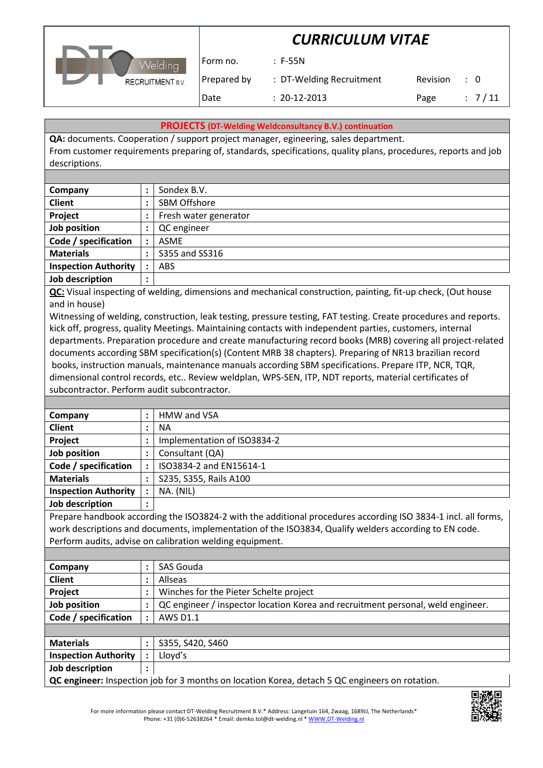



Form no. : F-55N

Prepared by : DT-Welding Recruitment Revision : 0 Date : 20-12-2013 Page : 7/11

#### **PROJECTS (DT-Welding Weldconsultancy B.V.) continuation**

**QA:** documents. Cooperation / support project manager, egineering, sales department. From customer requirements preparing of, standards, specifications, quality plans, procedures, reports and job descriptions.

| Company                     | :         | Sondex B.V.           |
|-----------------------------|-----------|-----------------------|
| <b>Client</b>               | ٠         | SBM Offshore          |
| Project                     | :         | Fresh water generator |
| Job position                |           | QC engineer           |
| Code / specification        | $\bullet$ | <b>ASME</b>           |
| <b>Materials</b>            | $\bullet$ | \$355 and \$\$316     |
| <b>Inspection Authority</b> | $\bullet$ | <b>ABS</b>            |
| Job description             | ٠<br>٠    |                       |

**QC:** Visual inspecting of welding, dimensions and mechanical construction, painting, fit-up check, (Out house and in house)

Witnessing of welding, construction, leak testing, pressure testing, FAT testing. Create procedures and reports. kick off, progress, quality Meetings. Maintaining contacts with independent parties, customers, internal departments. Preparation procedure and create manufacturing record books (MRB) covering all project-related documents according SBM specification(s) (Content MRB 38 chapters). Preparing of NR13 brazilian record books, instruction manuals, maintenance manuals according SBM specifications. Prepare ITP, NCR, TQR, dimensional control records, etc.. Review weldplan, WPS-SEN, ITP, NDT reports, material certificates of subcontractor. Perform audit subcontractor.

| Company                     |                | HMW and VSA                 |
|-----------------------------|----------------|-----------------------------|
| <b>Client</b>               |                | ΝA                          |
| Project                     |                | Implementation of ISO3834-2 |
| Job position                |                | Consultant (QA)             |
| Code / specification        | $\ddot{\cdot}$ | ISO3834-2 and EN15614-1     |
| <b>Materials</b>            |                | S235, S355, Rails A100      |
| <b>Inspection Authority</b> |                | NA. (NIL)                   |
|                             |                |                             |

**Job description :**

Prepare handbook according the ISO3824-2 with the additional procedures according ISO 3834-1 incl. all forms, work descriptions and documents, implementation of the ISO3834, Qualify welders according to EN code. Perform audits, advise on calibration welding equipment.

| Company                                              | SAS Gouda                                                                       |                                        |  |  |
|------------------------------------------------------|---------------------------------------------------------------------------------|----------------------------------------|--|--|
| <b>Client</b>                                        |                                                                                 | Allseas                                |  |  |
| Project                                              |                                                                                 | Winches for the Pieter Schelte project |  |  |
| Job position                                         | QC engineer / inspector location Korea and recruitment personal, weld engineer. |                                        |  |  |
| Code / specification<br><b>AWS D1.1</b><br>$\bullet$ |                                                                                 |                                        |  |  |
|                                                      |                                                                                 |                                        |  |  |
| <b>Materials</b>                                     |                                                                                 | S355, S420, S460                       |  |  |

| Materials                   | ১355, ১420, ১460                                                                                      |
|-----------------------------|-------------------------------------------------------------------------------------------------------|
| <b>Inspection Authority</b> | Llovd's                                                                                               |
| Job description             |                                                                                                       |
|                             | <b>QC engineer:</b> Inspection job for 3 months on location Korea, detach 5 QC engineers on rotation. |

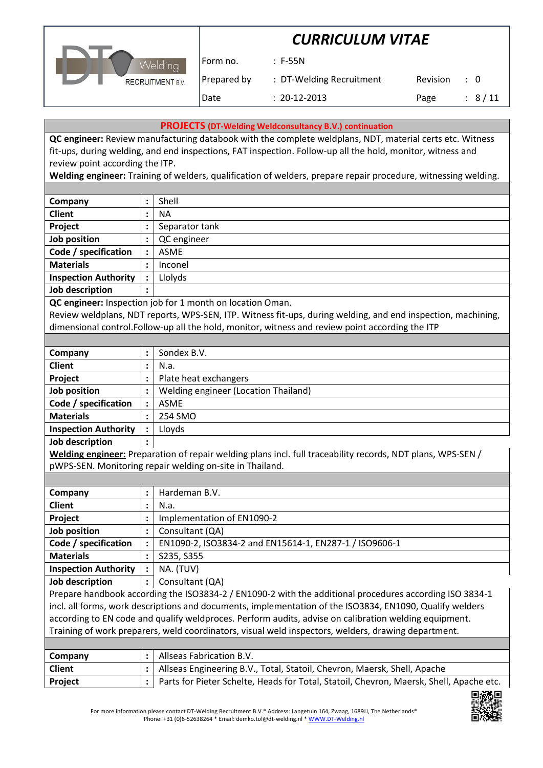

Form no. : F-55N

Prepared by : DT-Welding Recruitment Revision : 0 Date : 20-12-2013 Page : 8/11

**PROJECTS (DT-Welding Weldconsultancy B.V.) continuation**

**QC engineer:** Review manufacturing databook with the complete weldplans, NDT, material certs etc. Witness fit-ups, during welding, and end inspections, FAT inspection. Follow-up all the hold, monitor, witness and review point according the ITP.

**Welding engineer:** Training of welders, qualification of welders, prepare repair procedure, witnessing welding.

| Company                     | :                      | Shell          |
|-----------------------------|------------------------|----------------|
| <b>Client</b>               | $\bullet$              | <b>NA</b>      |
| Project                     | ٠                      | Separator tank |
| Job position                | ٠                      | QC engineer    |
| Code / specification        | $\bullet$              | ASME           |
| <b>Materials</b>            | $\bullet$<br>$\bullet$ | Inconel        |
| <b>Inspection Authority</b> | $\ddot{\cdot}$         | Llolyds        |
| Job description             | ٠<br>٠                 |                |
|                             |                        |                |

**QC engineer:** Inspection job for 1 month on location Oman.

Review weldplans, NDT reports, WPS-SEN, ITP. Witness fit-ups, during welding, and end inspection, machining, dimensional control.Follow-up all the hold, monitor, witness and review point according the ITP

| Company                     | $\bullet$<br>$\blacksquare$ | Sondex B.V.                          |
|-----------------------------|-----------------------------|--------------------------------------|
| <b>Client</b>               | $\bullet$                   | N.a.                                 |
| Project                     | $\bullet$                   | Plate heat exchangers                |
| Job position                |                             | Welding engineer (Location Thailand) |
| Code / specification        | $\bullet$                   | <b>ASME</b>                          |
| <b>Materials</b>            | $\bullet$                   | 254 SMO                              |
| <b>Inspection Authority</b> | $\bullet$                   | Lloyds                               |
| <b>Joh description</b>      |                             |                                      |

**Job description :**

**Welding engineer:** Preparation of repair welding plans incl. full traceability records, NDT plans, WPS-SEN / pWPS-SEN. Monitoring repair welding on-site in Thailand.

| Company                     | Hardeman B.V.<br>: |                                                        |
|-----------------------------|--------------------|--------------------------------------------------------|
| <b>Client</b>               | ٠                  | N.a.                                                   |
| Project                     | :                  | Implementation of EN1090-2                             |
| Job position                | :                  | Consultant (QA)                                        |
| Code / specification        | $\ddot{\cdot}$     | EN1090-2, ISO3834-2 and EN15614-1, EN287-1 / ISO9606-1 |
| <b>Materials</b>            | ٠                  | S235, S355                                             |
| <b>Inspection Authority</b> | $\ddot{\cdot}$     | NA. (TUV)                                              |
| Job description             | :                  | Consultant (QA)                                        |

Prepare handbook according the ISO3834-2 / EN1090-2 with the additional procedures according ISO 3834-1 incl. all forms, work descriptions and documents, implementation of the ISO3834, EN1090, Qualify welders according to EN code and qualify weldproces. Perform audits, advise on calibration welding equipment. Training of work preparers, weld coordinators, visual weld inspectors, welders, drawing department.

| Company        | Allseas Fabrication B.V.                                                                    |
|----------------|---------------------------------------------------------------------------------------------|
| <b>Client</b>  | :   Allseas Engineering B.V., Total, Statoil, Chevron, Maersk, Shell, Apache                |
| <b>Project</b> | :   Parts for Pieter Schelte, Heads for Total, Statoil, Chevron, Maersk, Shell, Apache etc. |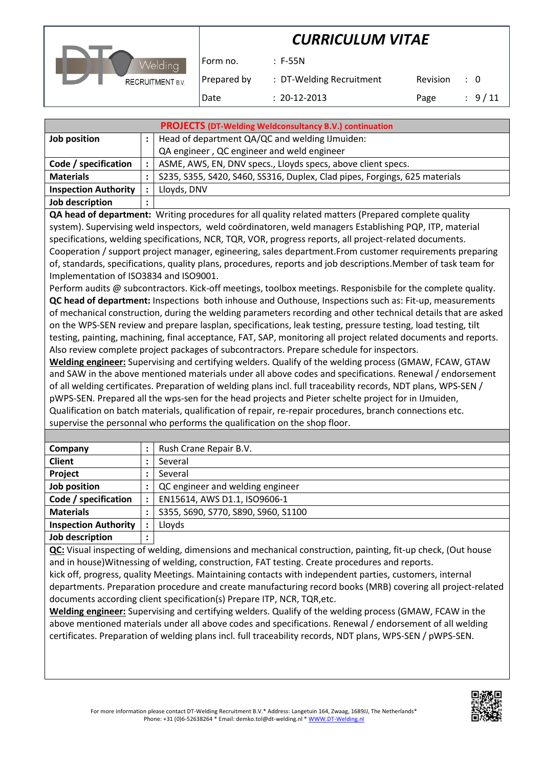

Form no. : F-55N

Prepared by : DT-Welding Recruitment Revision : 0

Date : 20-12-2013 Page : 9/11

| <b>PROJECTS (DT-Welding Weldconsultancy B.V.) continuation</b> |                                                |                                                                            |  |
|----------------------------------------------------------------|------------------------------------------------|----------------------------------------------------------------------------|--|
| Job position                                                   | Head of department QA/QC and welding IJmuiden: |                                                                            |  |
|                                                                |                                                | QA engineer, QC engineer and weld engineer                                 |  |
| Code / specification                                           |                                                | ASME, AWS, EN, DNV specs., Lloyds specs, above client specs.               |  |
| <b>Materials</b>                                               |                                                | S235, S355, S420, S460, SS316, Duplex, Clad pipes, Forgings, 625 materials |  |
| <b>Inspection Authority</b>                                    |                                                | Lloyds, DNV                                                                |  |
| Job description                                                | $\bullet$                                      |                                                                            |  |
|                                                                |                                                |                                                                            |  |

**QA head of department:** Writing procedures for all quality related matters (Prepared complete quality system). Supervising weld inspectors, weld coördinatoren, weld managers Establishing PQP, ITP, material specifications, welding specifications, NCR, TQR, VOR, progress reports, all project-related documents. Cooperation / support project manager, egineering, sales department.From customer requirements preparing of, standards, specifications, quality plans, procedures, reports and job descriptions.Member of task team for Implementation of ISO3834 and ISO9001.

Perform audits @ subcontractors. Kick-off meetings, toolbox meetings. Responisbile for the complete quality. **QC head of department:** Inspections both inhouse and Outhouse, Inspections such as: Fit-up, measurements of mechanical construction, during the welding parameters recording and other technical details that are asked on the WPS-SEN review and prepare lasplan, specifications, leak testing, pressure testing, load testing, tilt testing, painting, machining, final acceptance, FAT, SAP, monitoring all project related documents and reports. Also review complete project packages of subcontractors. Prepare schedule for inspectors.

**Welding engineer:** Supervising and certifying welders. Qualify of the welding process (GMAW, FCAW, GTAW and SAW in the above mentioned materials under all above codes and specifications. Renewal / endorsement of all welding certificates. Preparation of welding plans incl. full traceability records, NDT plans, WPS-SEN / pWPS-SEN. Prepared all the wps-sen for the head projects and Pieter schelte project for in IJmuiden, Qualification on batch materials, qualification of repair, re-repair procedures, branch connections etc. supervise the personnal who performs the qualification on the shop floor.

| Company                     | $\ddot{\phantom{a}}$ | Rush Crane Repair B.V.              |
|-----------------------------|----------------------|-------------------------------------|
| <b>Client</b>               |                      | Several                             |
| Project                     | ٠                    | Several                             |
| Job position                |                      | QC engineer and welding engineer    |
| Code / specification        | $\ddot{\cdot}$       | EN15614, AWS D1.1, ISO9606-1        |
| <b>Materials</b>            | $\ddot{\cdot}$       | S355, S690, S770, S890, S960, S1100 |
| <b>Inspection Authority</b> | $\bullet$            | Lloyds                              |
| Job description             | ٠                    |                                     |

**QC:** Visual inspecting of welding, dimensions and mechanical construction, painting, fit-up check, (Out house and in house)Witnessing of welding, construction, FAT testing. Create procedures and reports.

kick off, progress, quality Meetings. Maintaining contacts with independent parties, customers, internal departments. Preparation procedure and create manufacturing record books (MRB) covering all project-related documents according client specification(s) Prepare ITP, NCR, TQR,etc.

**Welding engineer:** Supervising and certifying welders. Qualify of the welding process (GMAW, FCAW in the above mentioned materials under all above codes and specifications. Renewal / endorsement of all welding certificates. Preparation of welding plans incl. full traceability records, NDT plans, WPS-SEN / pWPS-SEN.

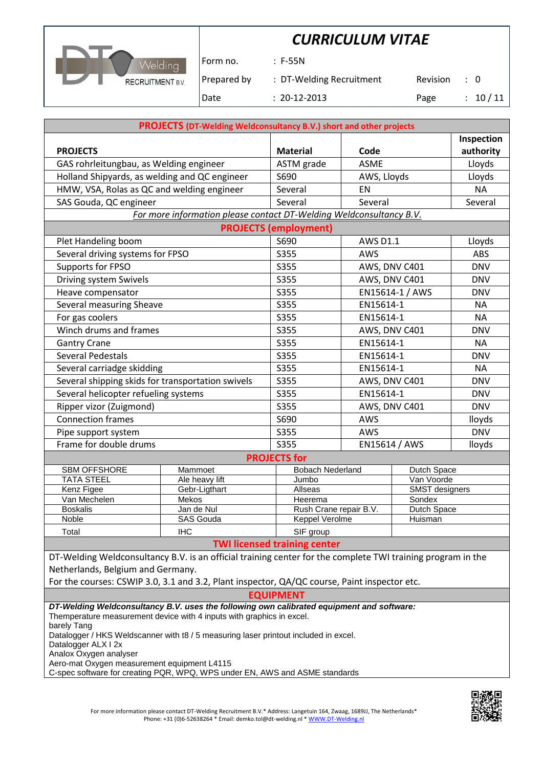

Form no. : F-55N

Prepared by : DT-Welding Recruitment Revision : 0

Date : 20-12-2013 Page : 10 / 11

|                                                                                                                                                                                                                               | <b>PROJECTS (DT-Welding Weldconsultancy B.V.) short and other projects</b> |                                                                |                 |                 |                      |
|-------------------------------------------------------------------------------------------------------------------------------------------------------------------------------------------------------------------------------|----------------------------------------------------------------------------|----------------------------------------------------------------|-----------------|-----------------|----------------------|
|                                                                                                                                                                                                                               |                                                                            |                                                                |                 |                 | Inspection           |
| <b>PROJECTS</b>                                                                                                                                                                                                               | <b>Material</b>                                                            | Code                                                           |                 | authority       |                      |
| GAS rohrleitungbau, as Welding engineer                                                                                                                                                                                       |                                                                            | ASTM grade                                                     | <b>ASME</b>     |                 | Lloyds               |
| Holland Shipyards, as welding and QC engineer                                                                                                                                                                                 |                                                                            | S690                                                           | AWS, Lloyds     |                 | Lloyds               |
| HMW, VSA, Rolas as QC and welding engineer                                                                                                                                                                                    |                                                                            | Several                                                        | EN              |                 |                      |
| SAS Gouda, QC engineer                                                                                                                                                                                                        |                                                                            | Several                                                        | Several         |                 | Several              |
|                                                                                                                                                                                                                               | For more information please contact DT-Welding Weldconsultancy B.V.        |                                                                |                 |                 |                      |
|                                                                                                                                                                                                                               |                                                                            | <b>PROJECTS (employment)</b>                                   |                 |                 |                      |
| Plet Handeling boom                                                                                                                                                                                                           |                                                                            | S690                                                           | <b>AWS D1.1</b> |                 | Lloyds               |
| Several driving systems for FPSO                                                                                                                                                                                              |                                                                            | S355                                                           | AWS             |                 | ABS                  |
| Supports for FPSO                                                                                                                                                                                                             |                                                                            | S355                                                           | AWS, DNV C401   |                 | <b>DNV</b>           |
| Driving system Swivels                                                                                                                                                                                                        |                                                                            | S355                                                           | AWS, DNV C401   |                 | <b>DNV</b>           |
| Heave compensator                                                                                                                                                                                                             |                                                                            | S355                                                           |                 | EN15614-1 / AWS | <b>DNV</b>           |
| Several measuring Sheave                                                                                                                                                                                                      |                                                                            | S355                                                           | EN15614-1       |                 | <b>NA</b>            |
| For gas coolers                                                                                                                                                                                                               |                                                                            | S355                                                           | EN15614-1       |                 | <b>NA</b>            |
| Winch drums and frames                                                                                                                                                                                                        |                                                                            | S355                                                           |                 | AWS, DNV C401   | <b>DNV</b>           |
| <b>Gantry Crane</b>                                                                                                                                                                                                           |                                                                            | S355                                                           | EN15614-1       |                 | <b>NA</b>            |
| Several Pedestals                                                                                                                                                                                                             |                                                                            | S355                                                           | EN15614-1       |                 | <b>DNV</b>           |
| Several carriadge skidding                                                                                                                                                                                                    |                                                                            | S355                                                           |                 | EN15614-1       |                      |
| Several shipping skids for transportation swivels                                                                                                                                                                             |                                                                            | S355                                                           |                 | AWS, DNV C401   | <b>DNV</b>           |
| Several helicopter refueling systems                                                                                                                                                                                          |                                                                            | S355                                                           | EN15614-1       |                 | <b>DNV</b>           |
| Ripper vizor (Zuigmond)                                                                                                                                                                                                       |                                                                            | S355                                                           |                 | AWS, DNV C401   | <b>DNV</b>           |
| <b>Connection frames</b>                                                                                                                                                                                                      |                                                                            | S690                                                           | AWS             |                 |                      |
| Pipe support system                                                                                                                                                                                                           |                                                                            | S355                                                           | AWS             |                 | lloyds<br><b>DNV</b> |
| Frame for double drums                                                                                                                                                                                                        |                                                                            | S355                                                           |                 | EN15614 / AWS   |                      |
|                                                                                                                                                                                                                               |                                                                            | <b>PROJECTS for</b>                                            |                 |                 | lloyds               |
| <b>SBM OFFSHORE</b>                                                                                                                                                                                                           | Mammoet                                                                    | <b>Bobach Nederland</b>                                        |                 | Dutch Space     |                      |
| <b>TATA STEEL</b>                                                                                                                                                                                                             | Ale heavy lift                                                             | Jumbo                                                          |                 | Van Voorde      |                      |
| Kenz Figee                                                                                                                                                                                                                    | Gebr-Ligthart                                                              | Allseas<br><b>SMST</b> designers                               |                 |                 |                      |
| Van Mechelen                                                                                                                                                                                                                  | Mekos                                                                      | Sondex<br>Heerema                                              |                 |                 |                      |
| <b>Boskalis</b>                                                                                                                                                                                                               | Jan de Nul<br><b>SAS Gouda</b>                                             | Rush Crane repair B.V.<br><b>Dutch Space</b><br>Keppel Verolme |                 |                 |                      |
| Noble                                                                                                                                                                                                                         |                                                                            |                                                                | Huisman         |                 |                      |
| Total                                                                                                                                                                                                                         | <b>IHC</b>                                                                 | SIF group<br><b>TWI licensed training center</b>               |                 |                 |                      |
| DT-Welding Weldconsultancy B.V. is an official training center for the complete TWI training program in the                                                                                                                   |                                                                            |                                                                |                 |                 |                      |
| Netherlands, Belgium and Germany.                                                                                                                                                                                             |                                                                            |                                                                |                 |                 |                      |
| For the courses: CSWIP 3.0, 3.1 and 3.2, Plant inspector, QA/QC course, Paint inspector etc.                                                                                                                                  |                                                                            |                                                                |                 |                 |                      |
|                                                                                                                                                                                                                               |                                                                            | <b>EQUIPMENT</b>                                               |                 |                 |                      |
| DT-Welding Weldconsultancy B.V. uses the following own calibrated equipment and software:                                                                                                                                     |                                                                            |                                                                |                 |                 |                      |
| Themperature measurement device with 4 inputs with graphics in excel.<br>barely Tang<br>Datalogger / HKS Weldscanner with t8 / 5 measuring laser printout included in excel.<br>Datalogger ALX I 2x<br>Analox Oxygen analyser |                                                                            |                                                                |                 |                 |                      |

Aero-mat Oxygen measurement equipment L4115

C-spec software for creating PQR, WPQ, WPS under EN, AWS and ASME standards